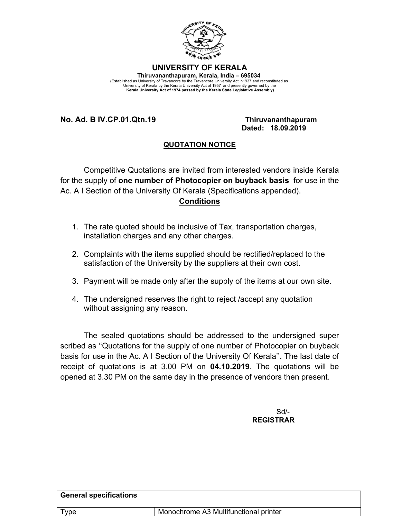

## **UNIVERSITY OF KERALA Thiruvananthapuram, Kerala, India – 695034**

(Established as University of Travancore by the Travancore University Act in1937 and reconstituted as<br>University of Kerala by the Kerala University Act of 1957 and presently governed by the<br>Kerala University Act of 1974 pa

## **No. Ad. B IV.CP.01.Qtn.19 Thiruvananthapuram**

 **Dated: 18.09.2019**

## **QUOTATION NOTICE**

Competitive Quotations are invited from interested vendors inside Kerala for the supply of **one number of Photocopier on buyback basis** for use in the Ac. A I Section of the University Of Kerala (Specifications appended). **Conditions**

- 1. The rate quoted should be inclusive of Tax, transportation charges, installation charges and any other charges.
- 2. Complaints with the items supplied should be rectified/replaced to the satisfaction of the University by the suppliers at their own cost.
- 3. Payment will be made only after the supply of the items at our own site.
- 4. The undersigned reserves the right to reject /accept any quotation without assigning any reason.

The sealed quotations should be addressed to the undersigned super scribed as ''Quotations for the supply of one number of Photocopier on buyback basis for use in the Ac. A I Section of the University Of Kerala''. The last date of receipt of quotations is at 3.00 PM on **04.10.2019**. The quotations will be opened at 3.30 PM on the same day in the presence of vendors then present.

> Sd/-  **REGISTRAR**

| <b>General specifications</b> |                                       |
|-------------------------------|---------------------------------------|
| Type                          | Monochrome A3 Multifunctional printer |